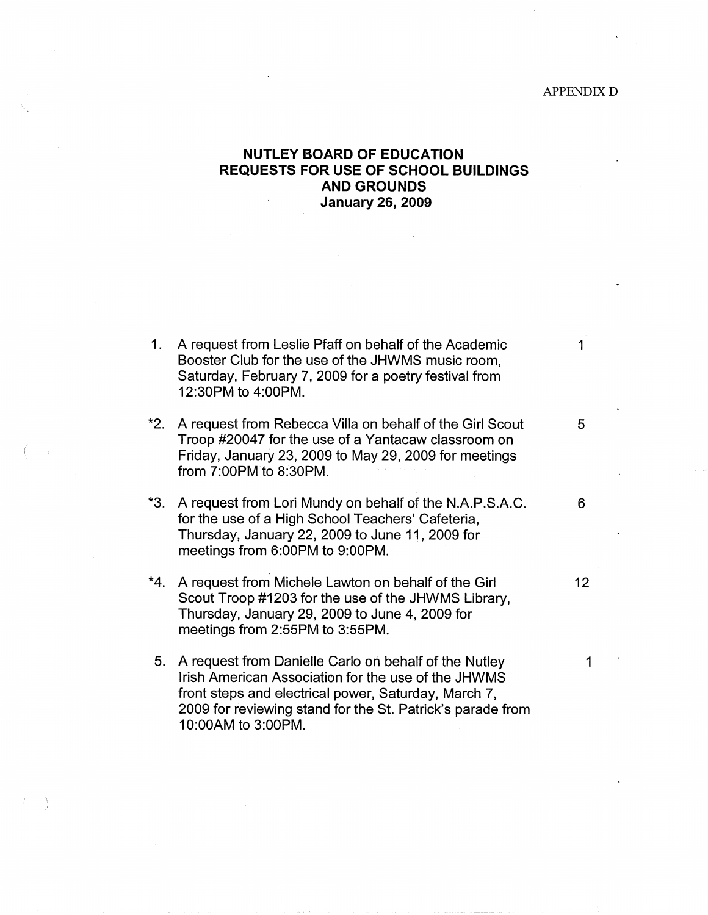## APPENDIX $\mathbf D$

## **NUTLEY BOARD OF EDUCATION REQUESTS FOR USE OF SCHOOL BUILDINGS AND GROUNDS January 26, 2009**

 $\sim 10$ 

| $1_{\cdot}$ | A request from Leslie Pfaff on behalf of the Academic<br>Booster Club for the use of the JHWMS music room,<br>Saturday, February 7, 2009 for a poetry festival from<br>12:30PM to 4:00PM.                                                                | 1  |
|-------------|----------------------------------------------------------------------------------------------------------------------------------------------------------------------------------------------------------------------------------------------------------|----|
| *2.         | A request from Rebecca Villa on behalf of the Girl Scout<br>Troop #20047 for the use of a Yantacaw classroom on<br>Friday, January 23, 2009 to May 29, 2009 for meetings<br>from 7:00PM to 8:30PM.                                                       | 5  |
| *3.         | A request from Lori Mundy on behalf of the N.A.P.S.A.C.<br>for the use of a High School Teachers' Cafeteria,<br>Thursday, January 22, 2009 to June 11, 2009 for<br>meetings from 6:00PM to 9:00PM.                                                       | 6  |
| *4.         | A request from Michele Lawton on behalf of the Girl<br>Scout Troop #1203 for the use of the JHWMS Library,<br>Thursday, January 29, 2009 to June 4, 2009 for<br>meetings from 2:55PM to 3:55PM.                                                          | 12 |
| 5.          | A request from Danielle Carlo on behalf of the Nutley<br>Irish American Association for the use of the JHWMS<br>front steps and electrical power, Saturday, March 7,<br>2009 for reviewing stand for the St. Patrick's parade from<br>10:00AM to 3:00PM. | 1  |

(